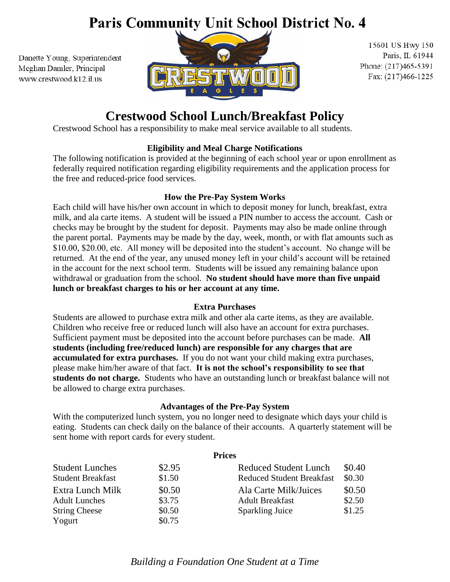# Paris Community Unit School District No. 4

Danette Young, Superintendent Meghan Damler, Principal www.crestwood.k12.il.us



15601 US Hwy 150 Paris, IL 61944 Phone: (217)465-5391 Fax: (217)466-1225

## **Crestwood School Lunch/Breakfast Policy**

Crestwood School has a responsibility to make meal service available to all students.

#### **Eligibility and Meal Charge Notifications**

The following notification is provided at the beginning of each school year or upon enrollment as federally required notification regarding eligibility requirements and the application process for the free and reduced-price food services.

#### **How the Pre-Pay System Works**

Each child will have his/her own account in which to deposit money for lunch, breakfast, extra milk, and ala carte items. A student will be issued a PIN number to access the account. Cash or checks may be brought by the student for deposit. Payments may also be made online through the parent portal. Payments may be made by the day, week, month, or with flat amounts such as \$10.00, \$20.00, etc. All money will be deposited into the student's account. No change will be returned. At the end of the year, any unused money left in your child's account will be retained in the account for the next school term. Students will be issued any remaining balance upon withdrawal or graduation from the school. **No student should have more than five unpaid lunch or breakfast charges to his or her account at any time.**

#### **Extra Purchases**

Students are allowed to purchase extra milk and other ala carte items, as they are available. Children who receive free or reduced lunch will also have an account for extra purchases. Sufficient payment must be deposited into the account before purchases can be made. **All students (including free/reduced lunch) are responsible for any charges that are accumulated for extra purchases.** If you do not want your child making extra purchases, please make him/her aware of that fact. **It is not the school's responsibility to see that students do not charge.** Students who have an outstanding lunch or breakfast balance will not be allowed to charge extra purchases.

#### **Advantages of the Pre-Pay System**

With the computerized lunch system, you no longer need to designate which days your child is eating. Students can check daily on the balance of their accounts. A quarterly statement will be sent home with report cards for every student.

| <b>Prices</b>                      |                                  |        |
|------------------------------------|----------------------------------|--------|
| \$2.95<br><b>Student Lunches</b>   | <b>Reduced Student Lunch</b>     | \$0.40 |
| \$1.50<br><b>Student Breakfast</b> | <b>Reduced Student Breakfast</b> | \$0.30 |
| \$0.50<br>Extra Lunch Milk         | Ala Carte Milk/Juices            | \$0.50 |
| \$3.75<br><b>Adult Lunches</b>     | <b>Adult Breakfast</b>           | \$2.50 |
| \$0.50<br><b>String Cheese</b>     | <b>Sparkling Juice</b>           | \$1.25 |
| \$0.75<br>Yogurt                   |                                  |        |

### *Building a Foundation One Student at a Time*